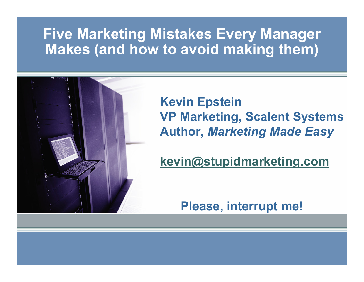#### **Five Marketing Mistakes Every Manager Makes (and how to avoid making them)**



**Kevin Epstein VP Marketing, Scalent Systems Author,** *Marketing Made Easy*

**kevin@stupidmarketing.com**

**Please, interrupt me!**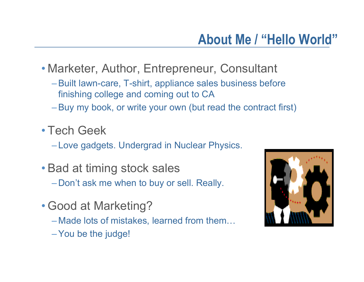- Marketer, Author, Entrepreneur, Consultant
	- –Built lawn-care, T-shirt, appliance sales business before finishing college and coming out to CA
	- –Buy my book, or write your own (but read the contract first)
- Tech Geek

Love gadgets. Undergrad in Nuclear Physics.

- Bad at timing stock sales
	- $-$  Don't ask me when to buy or sell. Really.
- Good at Marketing?
	- Made lots of mistakes, learned from them…
	- –You be the judge!

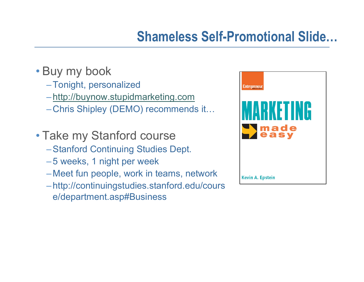#### **Shameless Self-Promotional Slide…**

- Buy my book
	- –Tonight, personalized
	- http://buynow.stupidmarketing.com
	- Chris Shipley (DEMO) recommends it…
- Take my Stanford course
	- –Stanford Continuing Studies Dept.
	- 5 weeks, 1 night per week
	- Meet fun people, work in teams, network
	- http://continuingstudies.stanford.edu/cours e/department.asp#Business

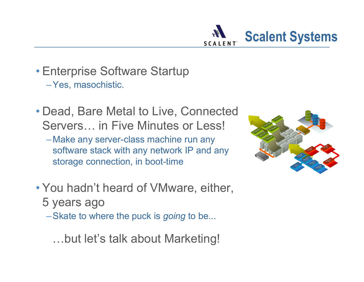

- Enterprise Software Startup –Yes, masochistic.
- Dead, Bare Metal to Live, Connected Servers… in Five Minutes or Less!
	- Make any server-class machine run any software stack with any network IP and any storage connection, in boot-time
- You hadn't heard of VMware, either, 5 years ago
	- –Skate to where the puck is *going* to be...
		- …but let's talk about Marketing!

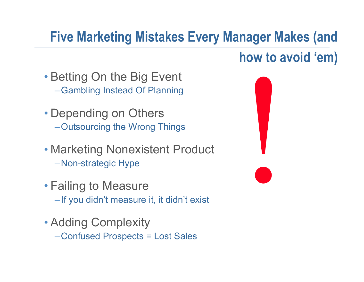# **Five Marketing Mistakes Every Manager Makes (and**

#### **how to avoid 'em)**

- Betting On the Big Event –Gambling Instead Of Planning
- Depending on Others –Outsourcing the Wrong Things
- Marketing Nonexistent Product Non-strategic Hype
- Failing to Measure  $\bf -$  If you didn't measure it, it didn't exist
- Adding Complexity Confused Prospects = Lost Sales

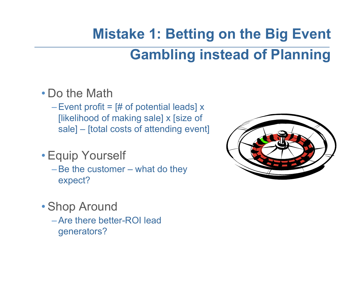# **Mistake 1: Betting on the Big Event Gambling instead of Planning**

- Do the Math
	- Event profit =  $[#$  of potential leads] x [likelihood of making sale] x [size of sale] – [total costs of attending event]
- Equip Yourself
	- –Be the customer what do they expect?
- Shop Around
	- –Are there better-ROI lead generators?

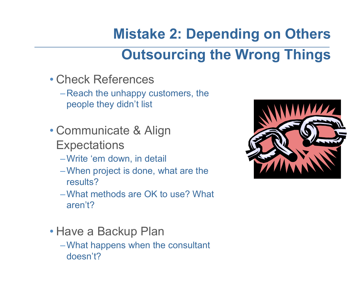# **Mistake 2: Depending on Others Outsourcing the Wrong Things**

- Check References
	- $-$  Reach the unhappy customers, the  $\,$ people they didn't list
- Communicate & Align **Expectations** 
	- –Write 'em down, in detail
	- –When project is done, what are the results?
	- –What methods are OK to use? What aren't?
- Have a Backup Plan
	- –What happens when the consultant doesn't?

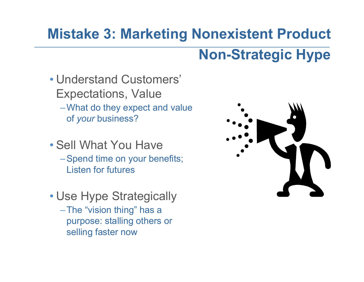# **Mistake 3: Marketing Nonexistent Product**

## **Non-Strategic Hype**

- Understand Customers' Expectations, Value –What do they expect and value of *your* business?
- Sell What You Have
	- –Spend time on your benefits; Listen for futures
- Use Hype Strategically
	- –The "vision thing" has a purpose: stalling others or selling faster now

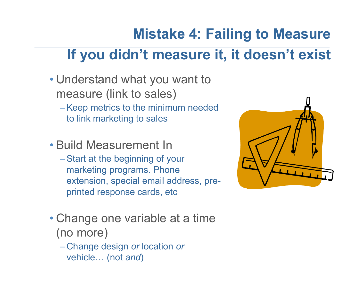# **Mistake 4: Failing to Measure**

## **If you didn't measure it, it doesn't exist**

- Understand what you want to measure (link to sales)
	- –Keep metrics to the minimum needed to link marketing to sales
- Build Measurement In
	- –Start at the beginning of your marketing programs. Phone extension, special email address, preprinted response cards, etc
- Change one variable at a time (no more)
	- Change design *or* location *or* vehicle… (not *and* )

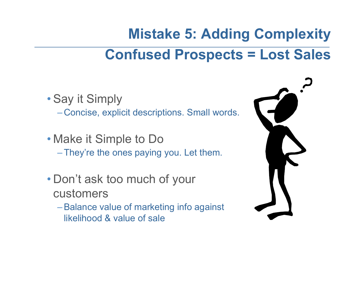# **Mistake 5: Adding Complexity Confused Prospects = Lost Sales**

• Say it Simply Concise, explicit descriptions. Small words.

- Make it Simple to Do –They're the ones paying you. Let them.
- Don't ask too much of your customers
	- –Balance value of marketing info against likelihood & value of sale

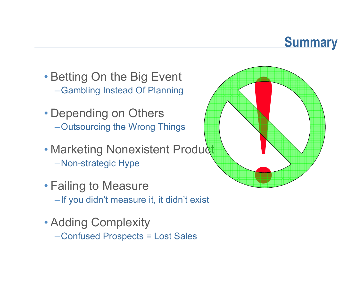#### **Summary**

- Betting On the Big Event –Gambling Instead Of Planning
- Depending on Others –Outsourcing the Wrong Things
- Marketing Nonexistent Product Non-strategic Hype
- Failing to Measure  $\bf -$  If you didn't measure it, it didn't exist
- Adding Complexity
	- Confused Prospects = Lost Sales